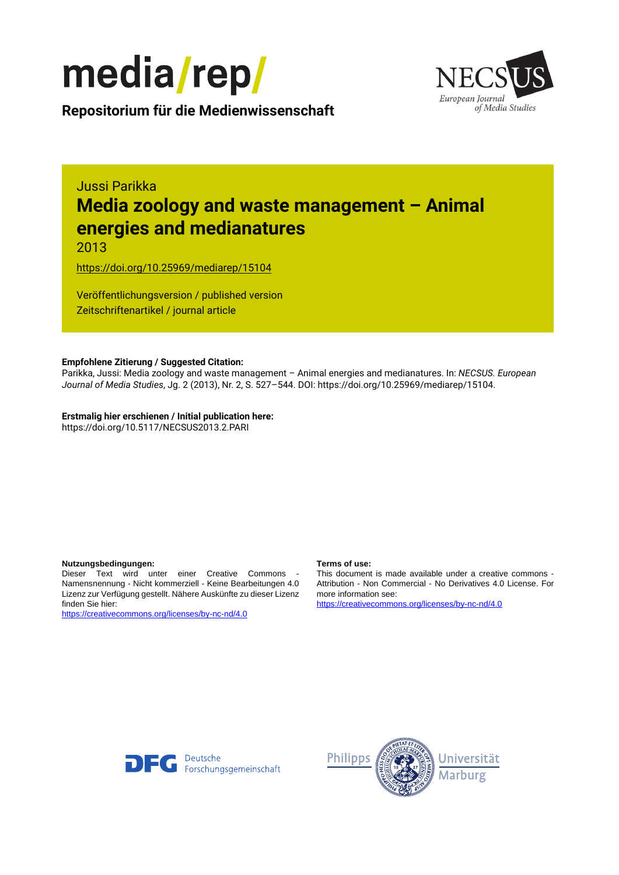



**Repositorium für die [Medienwissenschaft](https://mediarep.org)**

# Jussi Parikka **Media zoology and waste management – Animal energies and medianatures**

2013

<https://doi.org/10.25969/mediarep/15104>

Veröffentlichungsversion / published version Zeitschriftenartikel / journal article

#### **Empfohlene Zitierung / Suggested Citation:**

Parikka, Jussi: Media zoology and waste management – Animal energies and medianatures. In: *NECSUS. European Journal of Media Studies*, Jg. 2 (2013), Nr. 2, S. 527–544. DOI: https://doi.org/10.25969/mediarep/15104.

**Erstmalig hier erschienen / Initial publication here:** https://doi.org/10.5117/NECSUS2013.2.PARI

#### **Nutzungsbedingungen: Terms of use:**

Dieser Text wird unter einer Creative Commons - Namensnennung - Nicht kommerziell - Keine Bearbeitungen 4.0 Lizenz zur Verfügung gestellt. Nähere Auskünfte zu dieser Lizenz finden Sie hier:

<https://creativecommons.org/licenses/by-nc-nd/4.0>

This document is made available under a creative commons - Attribution - Non Commercial - No Derivatives 4.0 License. For more information see:

<https://creativecommons.org/licenses/by-nc-nd/4.0>



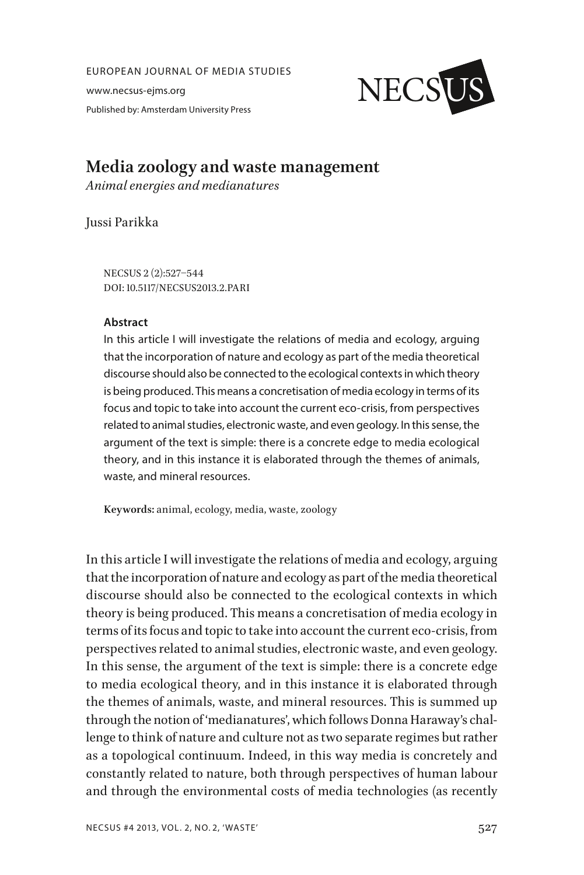EUROPEAN JOURNAL OF MEDIA STUDIES

www.necsus-ejms.org Published by: Amsterdam University Press



# **Media zoology and waste management**

*Animal energies and medianatures*

Jussi Parikka

NECSUS 2 (2):527–544 DOI: 10.5117/NECSUS2013.2.PARI

#### **Abstract**

In this article I will investigate the relations of media and ecology, arguing that the incorporation of nature and ecology as part of the media theoretical discourse should also be connected to the ecological contexts in which theory is being produced. This means a concretisation of media ecology in terms of its focus and topic to take into account the current eco-crisis, from perspectives related to animal studies, electronic waste, and even geology. In this sense, the argument of the text is simple: there is a concrete edge to media ecological theory, and in this instance it is elaborated through the themes of animals, waste, and mineral resources.

**Keywords:** animal, ecology, media, waste, zoology

In this article I will investigate the relations of media and ecology, arguing that the incorporation of nature and ecology as part of the media theoretical discourse should also be connected to the ecological contexts in which theory is being produced. This means a concretisation of media ecology in terms of its focus and topic to take into account the current eco-crisis, from perspectives related to animal studies, electronic waste, and even geology. In this sense, the argument of the text is simple: there is a concrete edge to media ecological theory, and in this instance it is elaborated through the themes of animals, waste, and mineral resources. This is summed up through the notion of 'medianatures', which follows Donna Haraway's challenge to think of nature and culture not as two separate regimes but rather as a topological continuum. Indeed, in this way media is concretely and constantly related to nature, both through perspectives of human labour and through the environmental costs of media technologies (as recently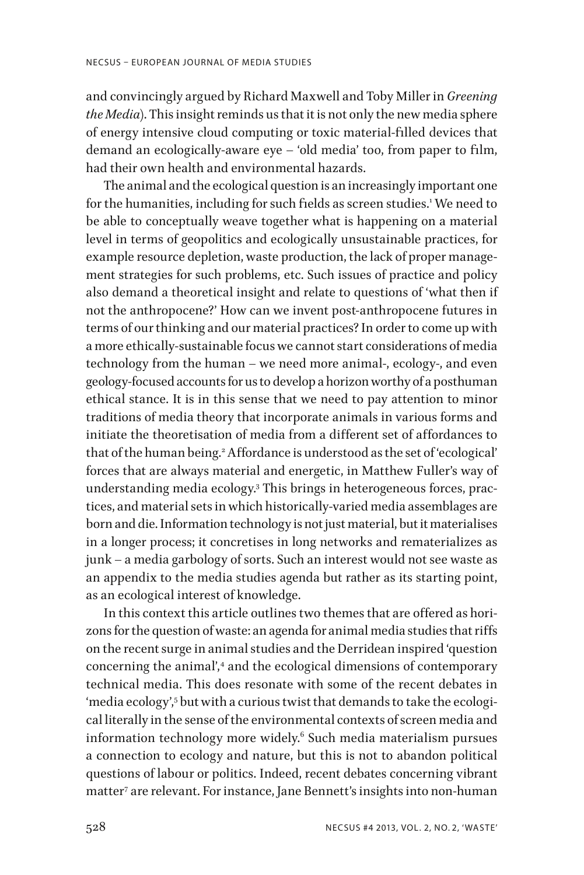and convincingly argued by Richard Maxwell and Toby Miller in *Greening the Media*). This insight reminds us that it is not only the new media sphere of energy intensive cloud computing or toxic material-filled devices that demand an ecologically-aware eye – 'old media' too, from paper to film, had their own health and environmental hazards.

The animal and the ecological question is an increasingly important one for the humanities, including for such fields as screen studies.1 We need to be able to conceptually weave together what is happening on a material level in terms of geopolitics and ecologically unsustainable practices, for example resource depletion, waste production, the lack of proper management strategies for such problems, etc. Such issues of practice and policy also demand a theoretical insight and relate to questions of 'what then if not the anthropocene?' How can we invent post-anthropocene futures in terms of our thinking and our material practices? In order to come up with a more ethically-sustainable focus we cannot start considerations of media technology from the human – we need more animal-, ecology-, and even geology-focused accounts for us to develop a horizon worthy of a posthuman ethical stance. It is in this sense that we need to pay attention to minor traditions of media theory that incorporate animals in various forms and initiate the theoretisation of media from a different set of affordances to that of the human being.2 Affordance is understood as the set of 'ecological' forces that are always material and energetic, in Matthew Fuller's way of understanding media ecology.3 This brings in heterogeneous forces, practices, and material sets in which historically-varied media assemblages are born and die. Information technology is not just material, but it materialises in a longer process; it concretises in long networks and rematerializes as junk – a media garbology of sorts. Such an interest would not see waste as an appendix to the media studies agenda but rather as its starting point, as an ecological interest of knowledge.

In this context this article outlines two themes that are offered as horizons for the question of waste: an agenda for animal media studies that riffs on the recent surge in animal studies and the Derridean inspired 'question concerning the animal',<sup>4</sup> and the ecological dimensions of contemporary technical media. This does resonate with some of the recent debates in 'media ecology', $^{\rm 5}$  but with a curious twist that demands to take the ecological literally in the sense of the environmental contexts of screen media and information technology more widely.6 Such media materialism pursues a connection to ecology and nature, but this is not to abandon political questions of labour or politics. Indeed, recent debates concerning vibrant matter7 are relevant. For instance, Jane Bennett's insights into non-human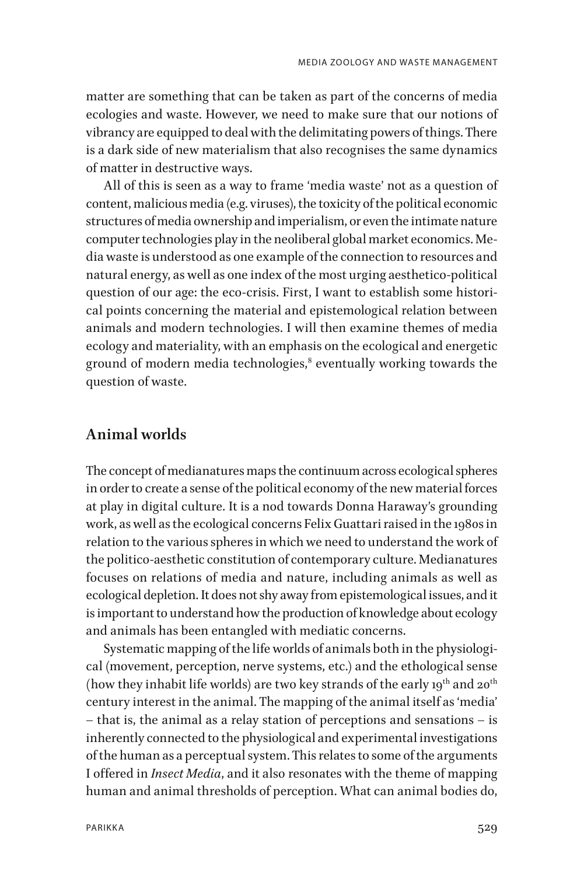matter are something that can be taken as part of the concerns of media ecologies and waste. However, we need to make sure that our notions of vibrancy are equipped to deal with the delimitating powers of things. There is a dark side of new materialism that also recognises the same dynamics of matter in destructive ways.

All of this is seen as a way to frame 'media waste' not as a question of content, malicious media (e.g. viruses), the toxicity of the political economic structures of media ownership and imperialism, or even the intimate nature computer technologies play in the neoliberal global market economics. Media waste is understood as one example of the connection to resources and natural energy, as well as one index of the most urging aesthetico-political question of our age: the eco-crisis. First, I want to establish some historical points concerning the material and epistemological relation between animals and modern technologies. I will then examine themes of media ecology and materiality, with an emphasis on the ecological and energetic ground of modern media technologies, $^{\text{s}}$  eventually working towards the question of waste.

### **Animal worlds**

The concept of medianatures maps the continuum across ecological spheres in order to create a sense of the political economy of the new material forces at play in digital culture. It is a nod towards Donna Haraway's grounding work, as well as the ecological concerns Felix Guattari raised in the 1980s in relation to the various spheres in which we need to understand the work of the politico-aesthetic constitution of contemporary culture. Medianatures focuses on relations of media and nature, including animals as well as ecological depletion. It does not shy away from epistemological issues, and it is important to understand how the production of knowledge about ecology and animals has been entangled with mediatic concerns.

Systematic mapping of the life worlds of animals both in the physiological (movement, perception, nerve systems, etc.) and the ethological sense (how they inhabit life worlds) are two key strands of the early  $19^{th}$  and  $20^{th}$ century interest in the animal. The mapping of the animal itself as 'media' – that is, the animal as a relay station of perceptions and sensations – is inherently connected to the physiological and experimental investigations of the human as a perceptual system. This relates to some of the arguments I offered in *Insect Media*, and it also resonates with the theme of mapping human and animal thresholds of perception. What can animal bodies do,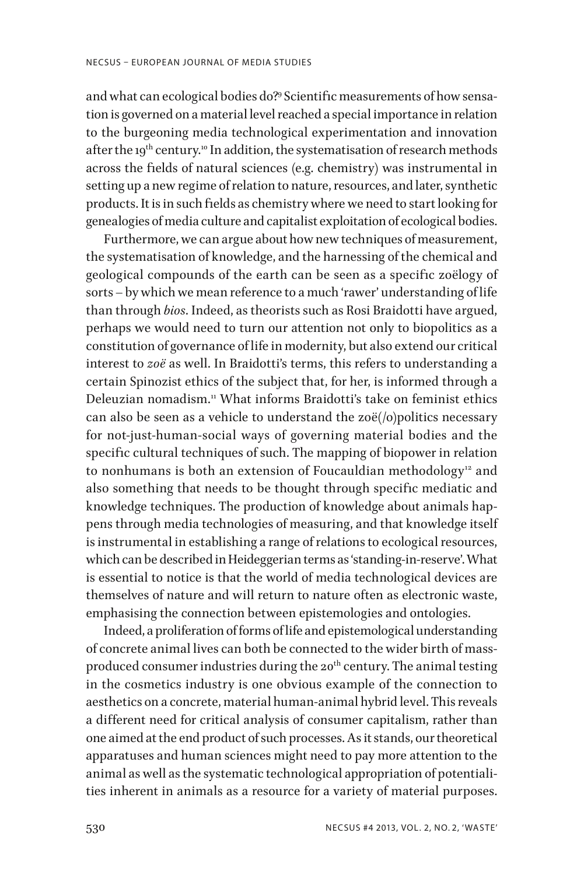and what can ecological bodies do?9 Scientific measurements of how sensation is governed on a material level reached a special importance in relation to the burgeoning media technological experimentation and innovation after the 19<sup>th</sup> century.<sup>10</sup> In addition, the systematisation of research methods across the fields of natural sciences (e.g. chemistry) was instrumental in setting up a new regime of relation to nature, resources, and later, synthetic products. It is in such fields as chemistry where we need to start looking for genealogies of media culture and capitalist exploitation of ecological bodies.

Furthermore, we can argue about how new techniques of measurement, the systematisation of knowledge, and the harnessing of the chemical and geological compounds of the earth can be seen as a specific zoëlogy of sorts – by which we mean reference to a much 'rawer' understanding of life than through *bios*. Indeed, as theorists such as Rosi Braidotti have argued, perhaps we would need to turn our attention not only to biopolitics as a constitution of governance of life in modernity, but also extend our critical interest to *zoë* as well. In Braidotti's terms, this refers to understanding a certain Spinozist ethics of the subject that, for her, is informed through a Deleuzian nomadism.11 What informs Braidotti's take on feminist ethics can also be seen as a vehicle to understand the zoë $($ /o $)$ politics necessary for not-just-human-social ways of governing material bodies and the specific cultural techniques of such. The mapping of biopower in relation to nonhumans is both an extension of Foucauldian methodology<sup>12</sup> and also something that needs to be thought through specific mediatic and knowledge techniques. The production of knowledge about animals happens through media technologies of measuring, and that knowledge itself is instrumental in establishing a range of relations to ecological resources, which can be described in Heideggerian terms as 'standing-in-reserve'. What is essential to notice is that the world of media technological devices are themselves of nature and will return to nature often as electronic waste, emphasising the connection between epistemologies and ontologies.

Indeed, a proliferation of forms of life and epistemological understanding of concrete animal lives can both be connected to the wider birth of massproduced consumer industries during the  $20<sup>th</sup>$  century. The animal testing in the cosmetics industry is one obvious example of the connection to aesthetics on a concrete, material human-animal hybrid level. This reveals a different need for critical analysis of consumer capitalism, rather than one aimed at the end product of such processes. As it stands, our theoretical apparatuses and human sciences might need to pay more attention to the animal as well as the systematic technological appropriation of potentialities inherent in animals as a resource for a variety of material purposes.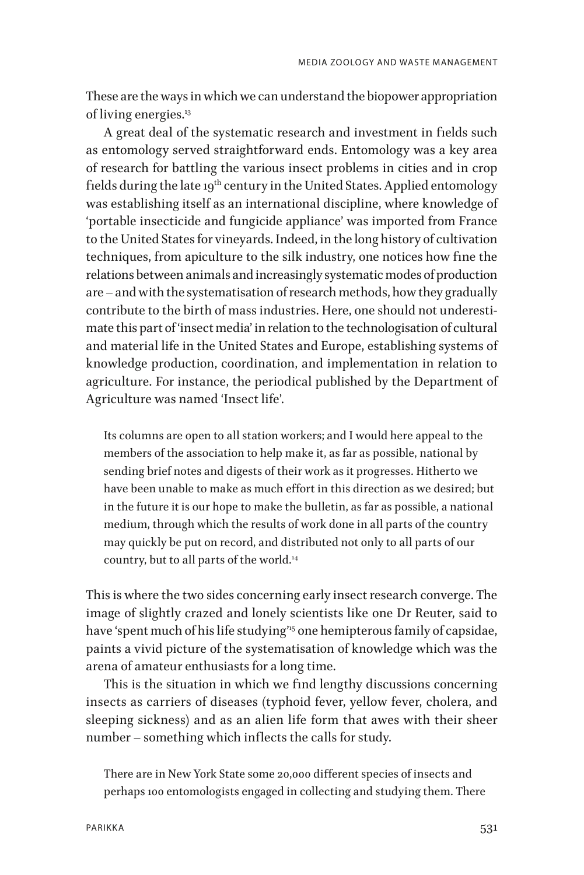These are the ways in which we can understand the biopower appropriation of living energies.<sup>13</sup>

A great deal of the systematic research and investment in fields such as entomology served straightforward ends. Entomology was a key area of research for battling the various insect problems in cities and in crop fields during the late 19<sup>th</sup> century in the United States. Applied entomology was establishing itself as an international discipline, where knowledge of 'portable insecticide and fungicide appliance' was imported from France to the United States for vineyards. Indeed, in the long history of cultivation techniques, from apiculture to the silk industry, one notices how fine the relations between animals and increasingly systematic modes of production are – and with the systematisation of research methods, how they gradually contribute to the birth of mass industries. Here, one should not underestimate this part of 'insect media' in relation to the technologisation of cultural and material life in the United States and Europe, establishing systems of knowledge production, coordination, and implementation in relation to agriculture. For instance, the periodical published by the Department of Agriculture was named 'Insect life'.

Its columns are open to all station workers; and I would here appeal to the members of the association to help make it, as far as possible, national by sending brief notes and digests of their work as it progresses. Hitherto we have been unable to make as much effort in this direction as we desired; but in the future it is our hope to make the bulletin, as far as possible, a national medium, through which the results of work done in all parts of the country may quickly be put on record, and distributed not only to all parts of our country, but to all parts of the world.14

This is where the two sides concerning early insect research converge. The image of slightly crazed and lonely scientists like one Dr Reuter, said to have 'spent much of his life studying"<sup>5</sup> one hemipterous family of capsidae, paints a vivid picture of the systematisation of knowledge which was the arena of amateur enthusiasts for a long time.

This is the situation in which we find lengthy discussions concerning insects as carriers of diseases (typhoid fever, yellow fever, cholera, and sleeping sickness) and as an alien life form that awes with their sheer number – something which inflects the calls for study.

There are in New York State some 20,000 different species of insects and perhaps 100 entomologists engaged in collecting and studying them. There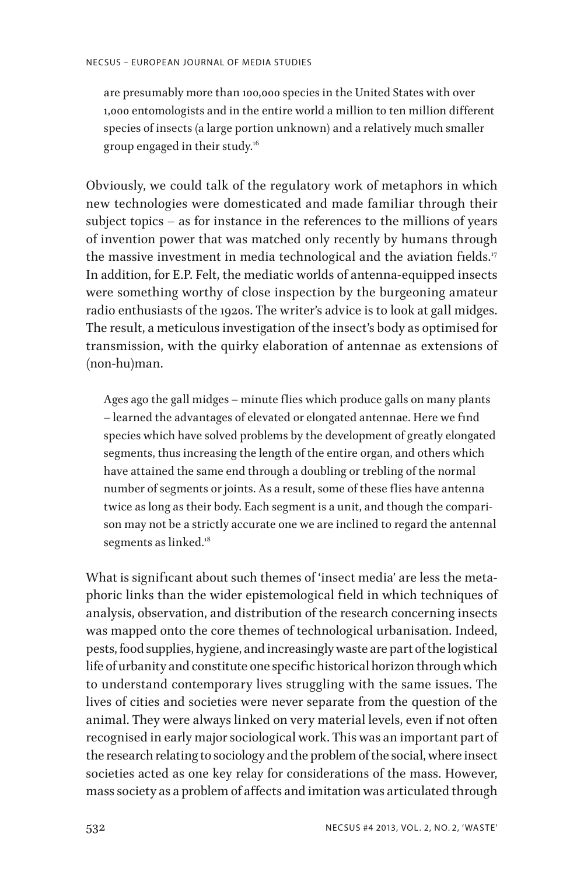are presumably more than 100,000 species in the United States with over 1,000 entomologists and in the entire world a million to ten million different species of insects (a large portion unknown) and a relatively much smaller group engaged in their study.16

Obviously, we could talk of the regulatory work of metaphors in which new technologies were domesticated and made familiar through their subject topics – as for instance in the references to the millions of years of invention power that was matched only recently by humans through the massive investment in media technological and the aviation fields.<sup>17</sup> In addition, for E.P. Felt, the mediatic worlds of antenna-equipped insects were something worthy of close inspection by the burgeoning amateur radio enthusiasts of the 1920s. The writer's advice is to look at gall midges. The result, a meticulous investigation of the insect's body as optimised for transmission, with the quirky elaboration of antennae as extensions of (non-hu)man.

Ages ago the gall midges – minute flies which produce galls on many plants – learned the advantages of elevated or elongated antennae. Here we find species which have solved problems by the development of greatly elongated segments, thus increasing the length of the entire organ, and others which have attained the same end through a doubling or trebling of the normal number of segments or joints. As a result, some of these flies have antenna twice as long as their body. Each segment is a unit, and though the comparison may not be a strictly accurate one we are inclined to regard the antennal segments as linked.<sup>18</sup>

What is significant about such themes of 'insect media' are less the metaphoric links than the wider epistemological field in which techniques of analysis, observation, and distribution of the research concerning insects was mapped onto the core themes of technological urbanisation. Indeed, pests, food supplies, hygiene, and increasingly waste are part of the logistical life of urbanity and constitute one specific historical horizon through which to understand contemporary lives struggling with the same issues. The lives of cities and societies were never separate from the question of the animal. They were always linked on very material levels, even if not often recognised in early major sociological work. This was an important part of the research relating to sociology and the problem of the social, where insect societies acted as one key relay for considerations of the mass. However, mass society as a problem of affects and imitation was articulated through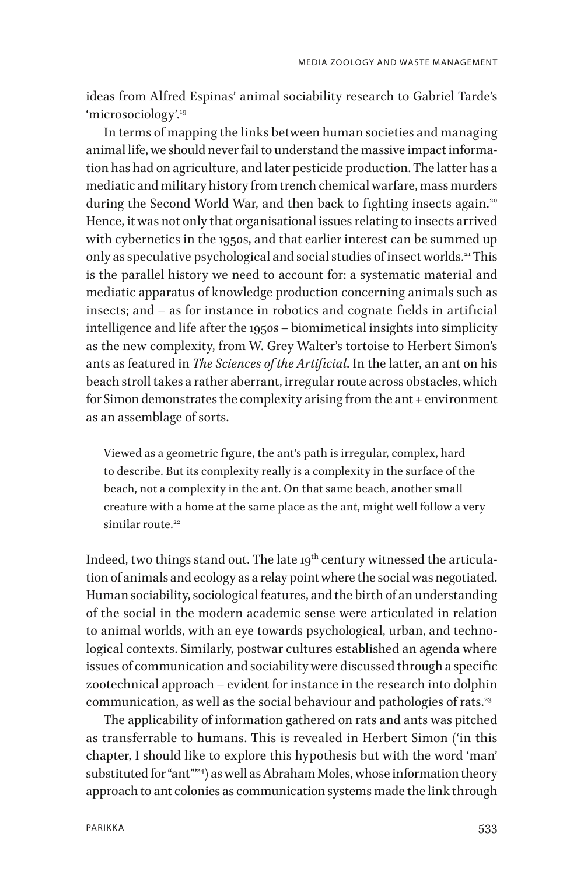ideas from Alfred Espinas' animal sociability research to Gabriel Tarde's 'microsociology'.19

In terms of mapping the links between human societies and managing animal life, we should never fail to understand the massive impact information has had on agriculture, and later pesticide production. The latter has a mediatic and military history from trench chemical warfare, mass murders during the Second World War, and then back to fighting insects again.<sup>20</sup> Hence, it was not only that organisational issues relating to insects arrived with cybernetics in the 1950s, and that earlier interest can be summed up only as speculative psychological and social studies of insect worlds.<sup>21</sup> This is the parallel history we need to account for: a systematic material and mediatic apparatus of knowledge production concerning animals such as insects; and – as for instance in robotics and cognate fields in artificial intelligence and life after the 1950s – biomimetical insights into simplicity as the new complexity, from W. Grey Walter's tortoise to Herbert Simon's ants as featured in *The Sciences of the Artificial*. In the latter, an ant on his beach stroll takes a rather aberrant, irregular route across obstacles, which for Simon demonstrates the complexity arising from the ant + environment as an assemblage of sorts.

Viewed as a geometric figure, the ant's path is irregular, complex, hard to describe. But its complexity really is a complexity in the surface of the beach, not a complexity in the ant. On that same beach, another small creature with a home at the same place as the ant, might well follow a very similar route<sup>22</sup>

Indeed, two things stand out. The late  $19<sup>th</sup>$  century witnessed the articulation of animals and ecology as a relay point where the social was negotiated. Human sociability, sociological features, and the birth of an understanding of the social in the modern academic sense were articulated in relation to animal worlds, with an eye towards psychological, urban, and technological contexts. Similarly, postwar cultures established an agenda where issues of communication and sociability were discussed through a specific zootechnical approach – evident for instance in the research into dolphin communication, as well as the social behaviour and pathologies of rats.<sup>23</sup>

The applicability of information gathered on rats and ants was pitched as transferrable to humans. This is revealed in Herbert Simon ('in this chapter, I should like to explore this hypothesis but with the word 'man' substituted for "ant"<sup>24</sup>) as well as Abraham Moles, whose information theory approach to ant colonies as communication systems made the link through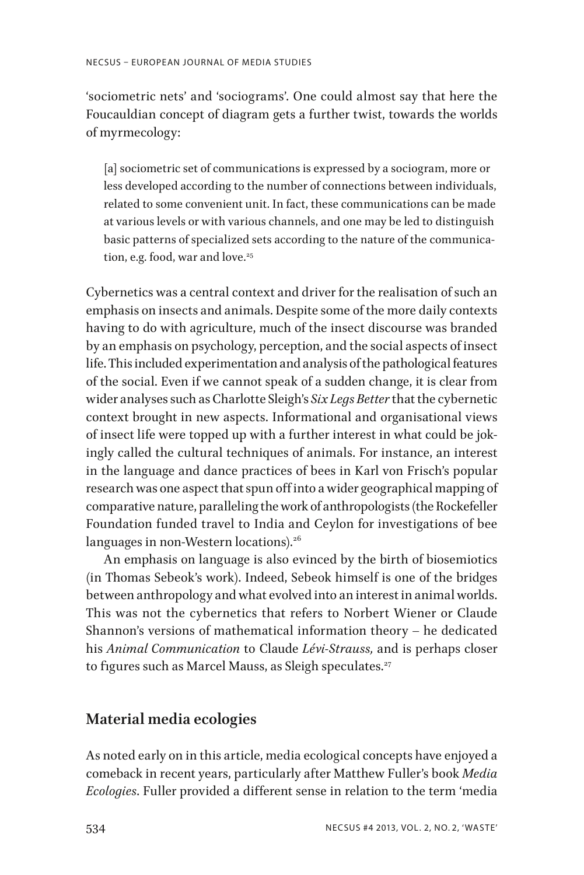'sociometric nets' and 'sociograms'. One could almost say that here the Foucauldian concept of diagram gets a further twist, towards the worlds of myrmecology:

[a] sociometric set of communications is expressed by a sociogram, more or less developed according to the number of connections between individuals, related to some convenient unit. In fact, these communications can be made at various levels or with various channels, and one may be led to distinguish basic patterns of specialized sets according to the nature of the communication, e.g. food, war and love.<sup>25</sup>

Cybernetics was a central context and driver for the realisation of such an emphasis on insects and animals. Despite some of the more daily contexts having to do with agriculture, much of the insect discourse was branded by an emphasis on psychology, perception, and the social aspects of insect life. This included experimentation and analysis of the pathological features of the social. Even if we cannot speak of a sudden change, it is clear from wider analyses such as Charlotte Sleigh's *Six Legs Better* that the cybernetic context brought in new aspects. Informational and organisational views of insect life were topped up with a further interest in what could be jokingly called the cultural techniques of animals. For instance, an interest in the language and dance practices of bees in Karl von Frisch's popular research was one aspect that spun off into a wider geographical mapping of comparative nature, paralleling the work of anthropologists (the Rockefeller Foundation funded travel to India and Ceylon for investigations of bee languages in non-Western locations). $26$ 

An emphasis on language is also evinced by the birth of biosemiotics (in Thomas Sebeok's work). Indeed, Sebeok himself is one of the bridges between anthropology and what evolved into an interest in animal worlds. This was not the cybernetics that refers to Norbert Wiener or Claude Shannon's versions of mathematical information theory – he dedicated his *Animal Communication* to Claude *Lévi-Strauss,* and is perhaps closer to figures such as Marcel Mauss, as Sleigh speculates.<sup>27</sup>

# **Material media ecologies**

As noted early on in this article, media ecological concepts have enjoyed a comeback in recent years, particularly after Matthew Fuller's book *Media Ecologies*. Fuller provided a different sense in relation to the term 'media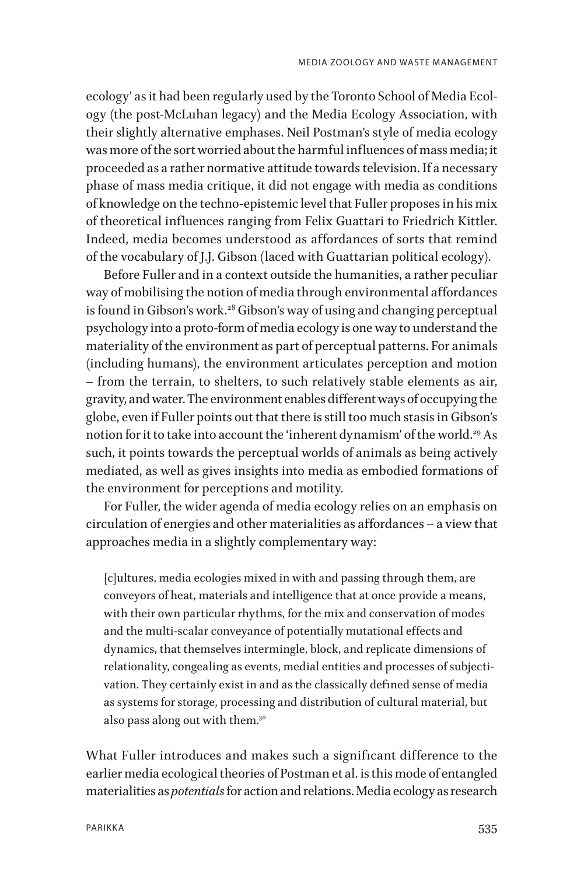ecology' as it had been regularly used by the Toronto School of Media Ecology (the post-McLuhan legacy) and the Media Ecology Association, with their slightly alternative emphases. Neil Postman's style of media ecology was more of the sort worried about the harmful influences of mass media; it proceeded as a rather normative attitude towards television. If a necessary phase of mass media critique, it did not engage with media as conditions of knowledge on the techno-epistemic level that Fuller proposes in his mix of theoretical influences ranging from Felix Guattari to Friedrich Kittler. Indeed, media becomes understood as affordances of sorts that remind of the vocabulary of J.J. Gibson (laced with Guattarian political ecology).

Before Fuller and in a context outside the humanities, a rather peculiar way of mobilising the notion of media through environmental affordances is found in Gibson's work.<sup>28</sup> Gibson's way of using and changing perceptual psychology into a proto-form of media ecology is one way to understand the materiality of the environment as part of perceptual patterns. For animals (including humans), the environment articulates perception and motion – from the terrain, to shelters, to such relatively stable elements as air, gravity, and water. The environment enables different ways of occupying the globe, even if Fuller points out that there is still too much stasis in Gibson's notion for it to take into account the 'inherent dynamism' of the world.<sup>29</sup> As such, it points towards the perceptual worlds of animals as being actively mediated, as well as gives insights into media as embodied formations of the environment for perceptions and motility.

For Fuller, the wider agenda of media ecology relies on an emphasis on circulation of energies and other materialities as affordances – a view that approaches media in a slightly complementary way:

[c]ultures, media ecologies mixed in with and passing through them, are conveyors of heat, materials and intelligence that at once provide a means, with their own particular rhythms, for the mix and conservation of modes and the multi-scalar conveyance of potentially mutational effects and dynamics, that themselves intermingle, block, and replicate dimensions of relationality, congealing as events, medial entities and processes of subjectivation. They certainly exist in and as the classically defined sense of media as systems for storage, processing and distribution of cultural material, but also pass along out with them.30

What Fuller introduces and makes such a significant difference to the earlier media ecological theories of Postman et al. is this mode of entangled materialities as *potentials* for action and relations. Media ecology as research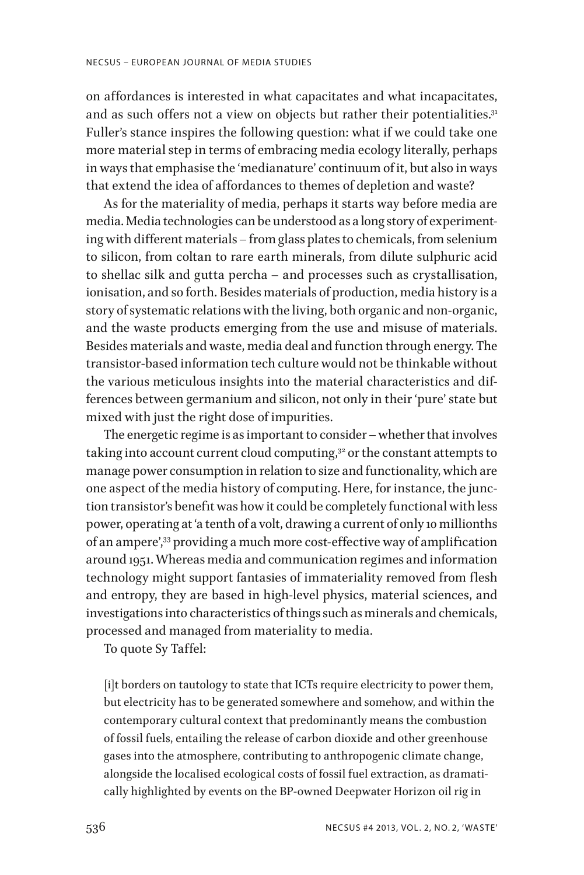on affordances is interested in what capacitates and what incapacitates, and as such offers not a view on objects but rather their potentialities.<sup>31</sup> Fuller's stance inspires the following question: what if we could take one more material step in terms of embracing media ecology literally, perhaps in ways that emphasise the 'medianature' continuum of it, but also in ways that extend the idea of affordances to themes of depletion and waste?

As for the materiality of media, perhaps it starts way before media are media. Media technologies can be understood as a long story of experimenting with different materials – from glass plates to chemicals, from selenium to silicon, from coltan to rare earth minerals, from dilute sulphuric acid to shellac silk and gutta percha – and processes such as crystallisation, ionisation, and so forth. Besides materials of production, media history is a story of systematic relations with the living, both organic and non-organic, and the waste products emerging from the use and misuse of materials. Besides materials and waste, media deal and function through energy. The transistor-based information tech culture would not be thinkable without the various meticulous insights into the material characteristics and differences between germanium and silicon, not only in their 'pure' state but mixed with just the right dose of impurities.

The energetic regime is as important to consider – whether that involves taking into account current cloud computing, $32$  or the constant attempts to manage power consumption in relation to size and functionality, which are one aspect of the media history of computing. Here, for instance, the junction transistor's benefit was how it could be completely functional with less power, operating at 'a tenth of a volt, drawing a current of only 10 millionths of an ampere',33 providing a much more cost-effective way of amplification around 1951. Whereas media and communication regimes and information technology might support fantasies of immateriality removed from flesh and entropy, they are based in high-level physics, material sciences, and investigations into characteristics of things such as minerals and chemicals, processed and managed from materiality to media.

To quote Sy Taffel:

[i]t borders on tautology to state that ICTs require electricity to power them, but electricity has to be generated somewhere and somehow, and within the contemporary cultural context that predominantly means the combustion of fossil fuels, entailing the release of carbon dioxide and other greenhouse gases into the atmosphere, contributing to anthropogenic climate change, alongside the localised ecological costs of fossil fuel extraction, as dramatically highlighted by events on the BP-owned Deepwater Horizon oil rig in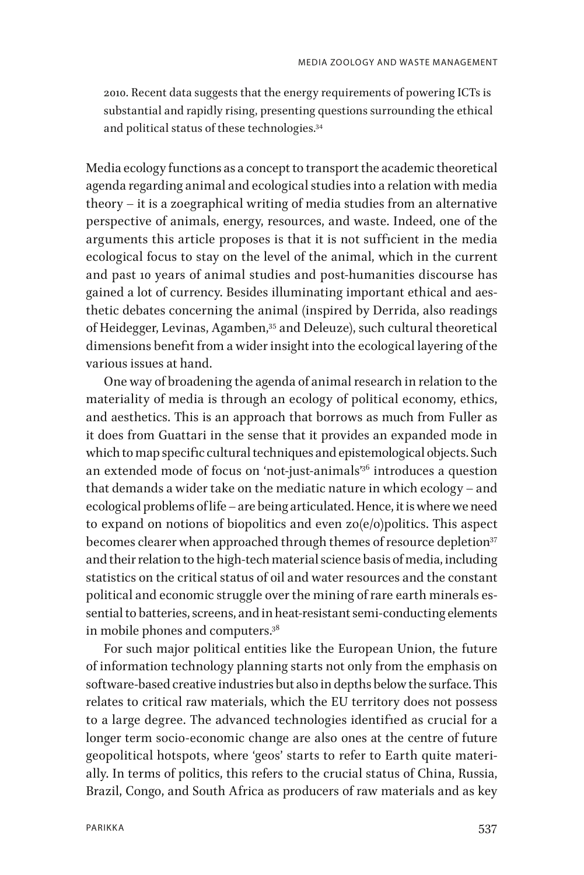2010. Recent data suggests that the energy requirements of powering ICTs is substantial and rapidly rising, presenting questions surrounding the ethical and political status of these technologies.34

Media ecology functions as a concept to transport the academic theoretical agenda regarding animal and ecological studies into a relation with media theory – it is a zoegraphical writing of media studies from an alternative perspective of animals, energy, resources, and waste. Indeed, one of the arguments this article proposes is that it is not sufficient in the media ecological focus to stay on the level of the animal, which in the current and past 10 years of animal studies and post-humanities discourse has gained a lot of currency. Besides illuminating important ethical and aesthetic debates concerning the animal (inspired by Derrida, also readings of Heidegger, Levinas, Agamben,<sup>35</sup> and Deleuze), such cultural theoretical dimensions benefit from a wider insight into the ecological layering of the various issues at hand.

One way of broadening the agenda of animal research in relation to the materiality of media is through an ecology of political economy, ethics, and aesthetics. This is an approach that borrows as much from Fuller as it does from Guattari in the sense that it provides an expanded mode in which to map specific cultural techniques and epistemological objects. Such an extended mode of focus on 'not-just-animals<sup>796</sup> introduces a question that demands a wider take on the mediatic nature in which ecology – and ecological problems of life – are being articulated. Hence, it is where we need to expand on notions of biopolitics and even  $zo(e/o)$  politics. This aspect becomes clearer when approached through themes of resource depletion<sup>37</sup> and their relation to the high-tech material science basis of media, including statistics on the critical status of oil and water resources and the constant political and economic struggle over the mining of rare earth minerals essential to batteries, screens, and in heat-resistant semi-conducting elements in mobile phones and computers.38

For such major political entities like the European Union, the future of information technology planning starts not only from the emphasis on software-based creative industries but also in depths below the surface. This relates to critical raw materials, which the EU territory does not possess to a large degree. The advanced technologies identified as crucial for a longer term socio-economic change are also ones at the centre of future geopolitical hotspots, where 'geos' starts to refer to Earth quite materially. In terms of politics, this refers to the crucial status of China, Russia, Brazil, Congo, and South Africa as producers of raw materials and as key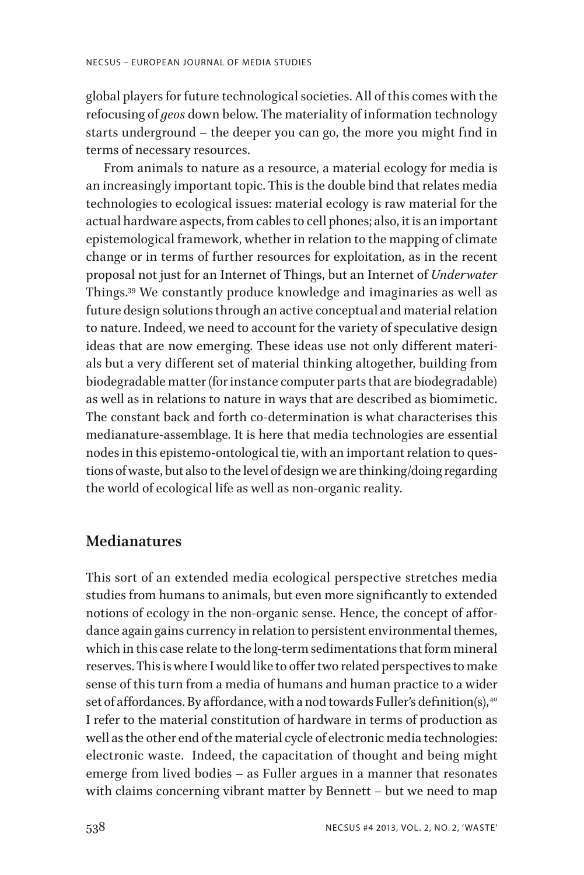global players for future technological societies. All of this comes with the refocusing of *geos* down below. The materiality of information technology starts underground – the deeper you can go, the more you might find in terms of necessary resources.

From animals to nature as a resource, a material ecology for media is an increasingly important topic. This is the double bind that relates media technologies to ecological issues: material ecology is raw material for the actual hardware aspects, from cables to cell phones; also, it is an important epistemological framework, whether in relation to the mapping of climate change or in terms of further resources for exploitation, as in the recent proposal not just for an Internet of Things, but an Internet of *Underwater* Things.39 We constantly produce knowledge and imaginaries as well as future design solutions through an active conceptual and material relation to nature. Indeed, we need to account for the variety of speculative design ideas that are now emerging. These ideas use not only different materials but a very different set of material thinking altogether, building from biodegradable matter (for instance computer parts that are biodegradable) as well as in relations to nature in ways that are described as biomimetic. The constant back and forth co-determination is what characterises this medianature-assemblage. It is here that media technologies are essential nodes in this epistemo-ontological tie, with an important relation to questions of waste, but also to the level of design we are thinking/doing regarding the world of ecological life as well as non-organic reality.

#### **Medianatures**

This sort of an extended media ecological perspective stretches media studies from humans to animals, but even more significantly to extended notions of ecology in the non-organic sense. Hence, the concept of affordance again gains currency in relation to persistent environmental themes, which in this case relate to the long-term sedimentations that form mineral reserves. This is where I would like to offer two related perspectives to make sense of this turn from a media of humans and human practice to a wider set of affordances. By affordance, with a nod towards Fuller's definition(s),  $40^\circ$ I refer to the material constitution of hardware in terms of production as well as the other end of the material cycle of electronic media technologies: electronic waste. Indeed, the capacitation of thought and being might emerge from lived bodies – as Fuller argues in a manner that resonates with claims concerning vibrant matter by Bennett – but we need to map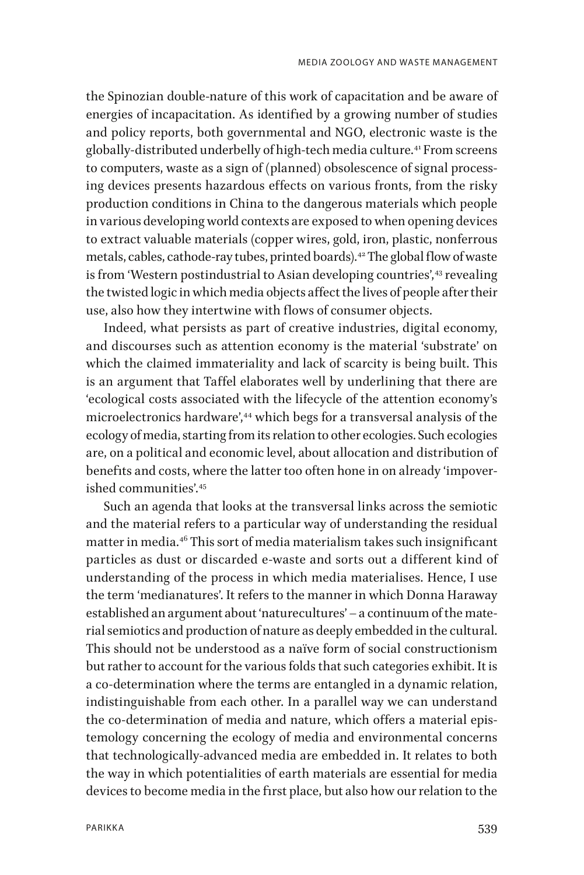the Spinozian double-nature of this work of capacitation and be aware of energies of incapacitation. As identified by a growing number of studies and policy reports, both governmental and NGO, electronic waste is the globally-distributed underbelly of high-tech media culture.41 From screens to computers, waste as a sign of (planned) obsolescence of signal processing devices presents hazardous effects on various fronts, from the risky production conditions in China to the dangerous materials which people in various developing world contexts are exposed to when opening devices to extract valuable materials (copper wires, gold, iron, plastic, nonferrous metals, cables, cathode-ray tubes, printed boards).<sup>42</sup> The global flow of waste is from 'Western postindustrial to Asian developing countries',<sup>43</sup> revealing the twisted logic in which media objects affect the lives of people after their use, also how they intertwine with flows of consumer objects.

Indeed, what persists as part of creative industries, digital economy, and discourses such as attention economy is the material 'substrate' on which the claimed immateriality and lack of scarcity is being built. This is an argument that Taffel elaborates well by underlining that there are 'ecological costs associated with the lifecycle of the attention economy's microelectronics hardware',<sup>44</sup> which begs for a transversal analysis of the ecology of media, starting from its relation to other ecologies. Such ecologies are, on a political and economic level, about allocation and distribution of benefits and costs, where the latter too often hone in on already 'impoverished communities' 45

Such an agenda that looks at the transversal links across the semiotic and the material refers to a particular way of understanding the residual matter in media.46 This sort of media materialism takes such insignificant particles as dust or discarded e-waste and sorts out a different kind of understanding of the process in which media materialises. Hence, I use the term 'medianatures'. It refers to the manner in which Donna Haraway established an argument about 'naturecultures' – a continuum of the material semiotics and production of nature as deeply embedded in the cultural. This should not be understood as a naïve form of social constructionism but rather to account for the various folds that such categories exhibit. It is a co-determination where the terms are entangled in a dynamic relation, indistinguishable from each other. In a parallel way we can understand the co-determination of media and nature, which offers a material epistemology concerning the ecology of media and environmental concerns that technologically-advanced media are embedded in. It relates to both the way in which potentialities of earth materials are essential for media devices to become media in the first place, but also how our relation to the

539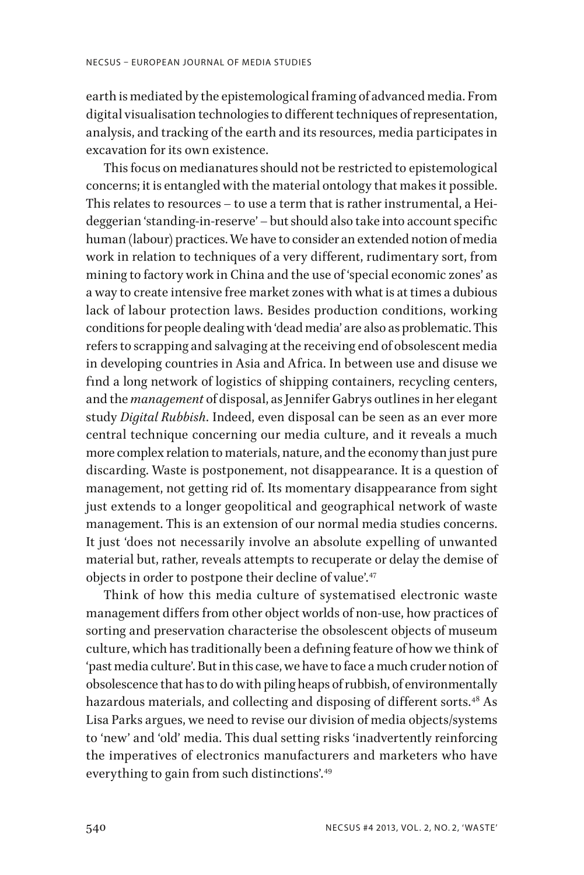earth is mediated by the epistemological framing of advanced media. From digital visualisation technologies to different techniques of representation, analysis, and tracking of the earth and its resources, media participates in excavation for its own existence.

This focus on medianatures should not be restricted to epistemological concerns; it is entangled with the material ontology that makes it possible. This relates to resources – to use a term that is rather instrumental, a Heideggerian 'standing-in-reserve' – but should also take into account specific human (labour) practices. We have to consider an extended notion of media work in relation to techniques of a very different, rudimentary sort, from mining to factory work in China and the use of 'special economic zones' as a way to create intensive free market zones with what is at times a dubious lack of labour protection laws. Besides production conditions, working conditions for people dealing with 'dead media' are also as problematic. This refers to scrapping and salvaging at the receiving end of obsolescent media in developing countries in Asia and Africa. In between use and disuse we find a long network of logistics of shipping containers, recycling centers, and the *management* of disposal, as Jennifer Gabrys outlines in her elegant study *Digital Rubbish*. Indeed, even disposal can be seen as an ever more central technique concerning our media culture, and it reveals a much more complex relation to materials, nature, and the economy than just pure discarding. Waste is postponement, not disappearance. It is a question of management, not getting rid of. Its momentary disappearance from sight just extends to a longer geopolitical and geographical network of waste management. This is an extension of our normal media studies concerns. It just 'does not necessarily involve an absolute expelling of unwanted material but, rather, reveals attempts to recuperate or delay the demise of objects in order to postpone their decline of value'.<sup>47</sup>

Think of how this media culture of systematised electronic waste management differs from other object worlds of non-use, how practices of sorting and preservation characterise the obsolescent objects of museum culture, which has traditionally been a defining feature of how we think of 'past media culture'. But in this case, we have to face a much cruder notion of obsolescence that has to do with piling heaps of rubbish, of environmentally hazardous materials, and collecting and disposing of different sorts.<sup>48</sup> As Lisa Parks argues, we need to revise our division of media objects/systems to 'new' and 'old' media. This dual setting risks 'inadvertently reinforcing the imperatives of electronics manufacturers and marketers who have everything to gain from such distinctions'.<sup>49</sup>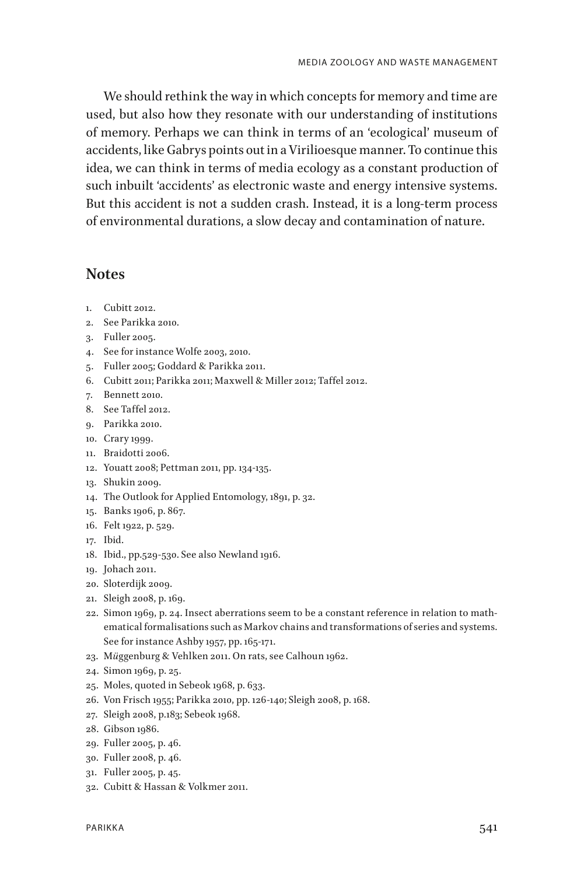We should rethink the way in which concepts for memory and time are used, but also how they resonate with our understanding of institutions of memory. Perhaps we can think in terms of an 'ecological' museum of accidents, like Gabrys points out in a Virilioesque manner. To continue this idea, we can think in terms of media ecology as a constant production of such inbuilt 'accidents' as electronic waste and energy intensive systems. But this accident is not a sudden crash. Instead, it is a long-term process of environmental durations, a slow decay and contamination of nature.

#### **Notes**

- 1. Cubitt 2012.
- 2. See Parikka 2010.
- 3. Fuller 2005.
- 4. See for instance Wolfe 2003, 2010.
- 5. Fuller 2005; Goddard & Parikka 2011.
- 6. Cubitt 2011; Parikka 2011; Maxwell & Miller 2012; Taffel 2012.
- 7. Bennett 2010.
- 8. See Taffel 2012.
- 9. Parikka 2010.
- 10. Crary 1999.
- 11. Braidotti 2006.
- 12. Youatt 2008; Pettman 2011, pp. 134-135.
- 13. Shukin 2009.
- 14. The Outlook for Applied Entomology, 1891, p. 32.
- 15. Banks 1906, p. 867.
- 16. Felt 1922, p. 529.
- 17. Ibid.
- 18. Ibid., pp.529-530. See also Newland 1916.
- 19. Johach 2011.
- 20. Sloterdijk 2009.
- 21. Sleigh 2008, p. 169.
- 22. Simon 1969, p. 24. Insect aberrations seem to be a constant reference in relation to mathematical formalisations such as Markov chains and transformations of series and systems. See for instance Ashby 1957, pp. 165-171.
- 23. M*ü*ggenburg & Vehlken 2011. On rats, see Calhoun 1962.
- 24. Simon 1969, p. 25.
- 25. Moles, quoted in Sebeok 1968, p. 633.
- 26. Von Frisch 1955; Parikka 2010, pp. 126-140; Sleigh 2008, p. 168.
- 27. Sleigh 2008, p.183; Sebeok 1968.
- 28. Gibson 1986.
- 29. Fuller 2005, p. 46.
- 30. Fuller 2008, p. 46.
- 31. Fuller 2005, p. 45.
- 32. Cubitt & Hassan & Volkmer 2011.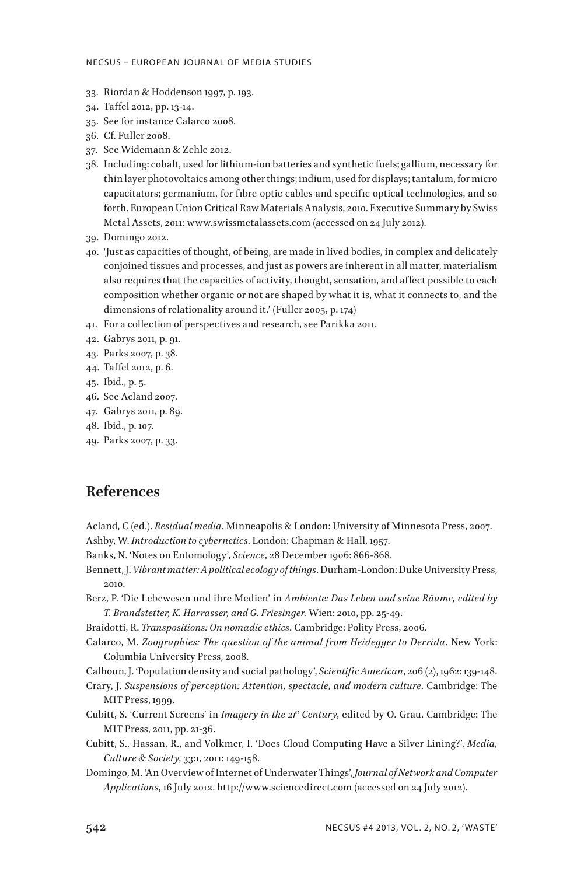- 33. Riordan & Hoddenson 1997, p. 193.
- 34. Taffel 2012, pp. 13-14.
- 35. See for instance Calarco 2008.
- 36. Cf. Fuller 2008.
- 37. See Widemann & Zehle 2012.
- 38. Including: cobalt, used for lithium-ion batteries and synthetic fuels; gallium, necessary for thin layer photovoltaics among other things; indium, used for displays; tantalum, for micro capacitators; germanium, for fibre optic cables and specific optical technologies, and so forth. European Union Critical Raw Materials Analysis, 2010. Executive Summary by Swiss Metal Assets, 2011: www.swissmetalassets.com (accessed on 24 July 2012).
- 39. Domingo 2012.
- 40. 'Just as capacities of thought, of being, are made in lived bodies, in complex and delicately conjoined tissues and processes, and just as powers are inherent in all matter, materialism also requires that the capacities of activity, thought, sensation, and affect possible to each composition whether organic or not are shaped by what it is, what it connects to, and the dimensions of relationality around it.' (Fuller 2005, p. 174)
- 41. For a collection of perspectives and research, see Parikka 2011.
- 42. Gabrys 2011, p. 91.
- 43. Parks 2007, p. 38.
- 44. Taffel 2012, p. 6.
- 45. Ibid., p. 5.
- 46. See Acland 2007.
- 47. Gabrys 2011, p. 89.
- 48. Ibid., p. 107.
- 49. Parks 2007, p. 33.

#### **References**

- Acland, C (ed.). *Residual media*. Minneapolis & London: University of Minnesota Press, 2007. Ashby, W. *Introduction to cybernetics*. London: Chapman & Hall, 1957.
- Banks, N. 'Notes on Entomology', *Science*, 28 December 1906: 866-868.
- Bennett, J. *Vibrant matter: A political ecology of things*. Durham-London: Duke University Press, 2010.
- Berz, P. 'Die Lebewesen und ihre Medien' in *Ambiente: Das Leben und seine Räume, edited by T. Brandstetter, K. Harrasser, and G. Friesinger.* Wien: 2010, pp. 25-49.
- Braidotti, R. *Transpositions: On nomadic ethics*. Cambridge: Polity Press, 2006.
- Calarco, M. *Zoographies: The question of the animal from Heidegger to Derrida*. New York: Columbia University Press, 2008.
- Calhoun, J. 'Population density and social pathology', *Scientific American*, 206 (2), 1962: 139-148.
- Crary, J. *Suspensions of perception: Attention, spectacle, and modern culture*. Cambridge: The MIT Press, 1999.
- Cubitt, S. 'Current Screens' in *Imagery in the 2<sup>rt</sup>* Century, edited by O. Grau. Cambridge: The MIT Press, 2011, pp. 21-36.
- Cubitt, S., Hassan, R., and Volkmer, I. 'Does Cloud Computing Have a Silver Lining?', *Media, Culture & Society*, 33:1, 2011: 149-158.
- Domingo, M. 'An Overview of Internet of Underwater Things', *Journal of Network and Computer Applications*, 16 July 2012. http://www.sciencedirect.com (accessed on 24 July 2012).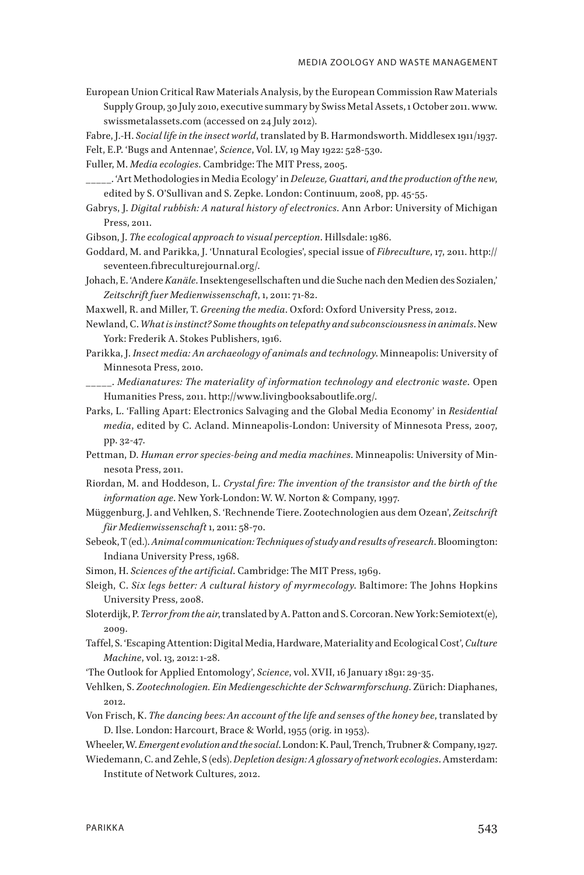European Union Critical Raw Materials Analysis, by the European Commission Raw Materials Supply Group, 30 July 2010, executive summary by Swiss Metal Assets, 1 October 2011. www. swissmetalassets.com (accessed on 24 July 2012).

Fabre, J.-H. *Social life in the insect world*, translated by B. Harmondsworth. Middlesex 1911/1937.

Felt, E.P. 'Bugs and Antennae', *Science*, Vol. LV, 19 May 1922: 528-530.

Fuller, M. *Media ecologies*. Cambridge: The MIT Press, 2005.

- \_\_\_\_\_. 'Art Methodologies in Media Ecology' in *Deleuze, Guattari, and the production of the new*, edited by S. O'Sullivan and S. Zepke. London: Continuum, 2008, pp. 45-55.
- Gabrys, J. *Digital rubbish: A natural history of electronics*. Ann Arbor: University of Michigan Press, 2011.
- Gibson, J. *The ecological approach to visual perception*. Hillsdale: 1986.
- Goddard, M. and Parikka, J. 'Unnatural Ecologies', special issue of *Fibreculture*, 17, 2011. http:// seventeen.fibreculturejournal.org/.
- Johach, E. 'Andere *Kanäle*. Insektengesellschaften und die Suche nach den Medien des Sozialen,' *Zeitschrift fuer Medienwissenschaft*, 1, 2011: 71-82.

Maxwell, R. and Miller, T. *Greening the media*. Oxford: Oxford University Press, 2012.

- Newland, C. *What is instinct? Some thoughts on telepathy and subconsciousness in animals*. New York: Frederik A. Stokes Publishers, 1916.
- Parikka, J. *Insect media: An archaeology of animals and technology*. Minneapolis: University of Minnesota Press, 2010.
- \_\_\_\_\_. *Medianatures: The materiality of information technology and electronic waste*. Open Humanities Press, 2011. http://www.livingbooksaboutlife.org/.
- Parks, L. 'Falling Apart: Electronics Salvaging and the Global Media Economy' in *Residential media*, edited by C. Acland. Minneapolis-London: University of Minnesota Press, 2007, pp. 32-47.
- Pettman, D. *Human error species-being and media machines*. Minneapolis: University of Minnesota Press, 2011.
- Riordan, M. and Hoddeson, L. *Crystal fire: The invention of the transistor and the birth of the information age*. New York-London: W. W. Norton & Company, 1997.
- Müggenburg, J. and Vehlken, S. 'Rechnende Tiere. Zootechnologien aus dem Ozean', *Zeitschrift für Medienwissenschaft* 1, 2011: 58-70.
- Sebeok, T (ed.). *Animal communication: Techniques of study and results of research*.Bloomington: Indiana University Press, 1968.
- Simon, H. *Sciences of the artificial*. Cambridge: The MIT Press, 1969.
- Sleigh, C. *Six legs better: A cultural history of myrmecology*. Baltimore: The Johns Hopkins University Press, 2008.
- Sloterdijk, P. *Terror from the air*, translated by A. Patton and S. Corcoran. New York: Semiotext(e), 2009.
- Taffel, S. 'Escaping Attention: Digital Media, Hardware, Materiality and Ecological Cost', *Culture Machine*, vol. 13, 2012: 1-28.
- 'The Outlook for Applied Entomology', *Science*, vol. XVII, 16 January 1891: 29-35.
- Vehlken, S. *Zootechnologien. Ein Mediengeschichte der Schwarmforschung*. Zürich: Diaphanes, 2012.
- Von Frisch, K. *The dancing bees: An account of the life and senses of the honey bee*, translated by D. Ilse. London: Harcourt, Brace & World, 1955 (orig. in 1953).

Wheeler, W. *Emergent evolution and the social*. London: K. Paul, Trench, Trubner & Company, 1927.

Wiedemann, C. and Zehle, S (eds). *Depletion design: A glossary of network ecologies*. Amsterdam: Institute of Network Cultures, 2012.